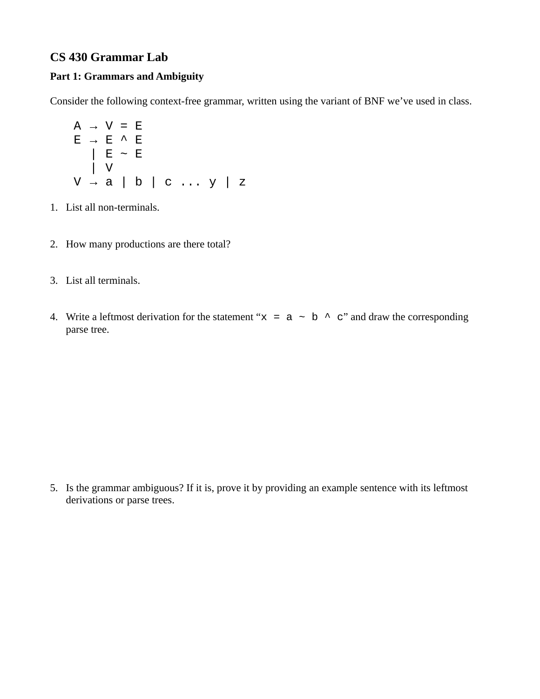## **CS 430 Grammar Lab**

## **Part 1: Grammars and Ambiguity**

Consider the following context-free grammar, written using the variant of BNF we've used in class.

$$
A \rightarrow V = E
$$
  
\n
$$
E \rightarrow E \land E
$$
  
\n
$$
E \sim E
$$
  
\n
$$
V \rightarrow a \mid b \mid c \dots y \mid z
$$

- 1. List all non-terminals.
- 2. How many productions are there total?
- 3. List all terminals.
- 4. Write a leftmost derivation for the statement " $x = a \sim b \sim c$ " and draw the corresponding parse tree.

5. Is the grammar ambiguous? If it is, prove it by providing an example sentence with its leftmost derivations or parse trees.